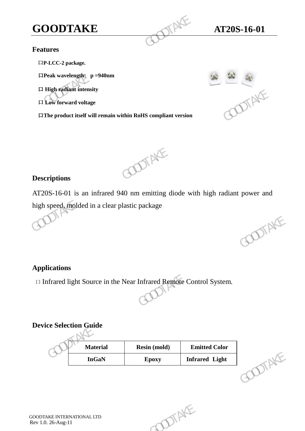### **Features**

口**P-LCC-2 package.**

口**Peak wavelength: p =940nm** 

口 **High radiant intensity** 

口 **Low forward voltage** 

口**The product itself will remain within RoHS compliant version GOODTAKE**<br>
Features<br>  $\Box P\text{-LCC-2 package.}$ <br>  $\Box$  Peak wavelength:  $p = 940 \text{nm}$ <br>  $\Box$  High radiant intensity<br>  $\Box$  Low forward voltage<br>  $\Box$  The product itself will remain within RoHS compliant version





### **Descriptions**

AT20S-16-01 is an infrared 940 nm emitting diode with high radiant power and high speed, molded in a clear plastic package E Low forward voltage<br>
EThe product itself will remain within RoHS compliant version<br>  $AT20S-16-01$  is an infrared 940 nm emitting diode with high radiant power and<br>
high speed, molded in a clear plastic package<br>  $\bigodot$ 

**Applications**

口 Infrared light Source in the Near Infrared Remote Control System.

### **Device Selection Guide**

| <b>Material</b><br><b>Emitted Color</b><br><b>Resin (mold)</b><br>DIAKE<br><b>InGaN</b><br><b>Infrared Light</b><br>Epoxy<br>DIAKE |  |  | ODTAKE |
|------------------------------------------------------------------------------------------------------------------------------------|--|--|--------|
| lications<br>ofrared light Source in the Near Infrared Remote Control System.<br>ce Selection Guide                                |  |  |        |
|                                                                                                                                    |  |  |        |
|                                                                                                                                    |  |  |        |
|                                                                                                                                    |  |  |        |
| AKE INTERNATIONAL LTD<br>$.26$ -Aug-11                                                                                             |  |  |        |
|                                                                                                                                    |  |  |        |
|                                                                                                                                    |  |  |        |
|                                                                                                                                    |  |  |        |
|                                                                                                                                    |  |  |        |
|                                                                                                                                    |  |  |        |
|                                                                                                                                    |  |  |        |

GOODTAKE INTERNATIONAL LTD Rev 1.0. 26-Aug-11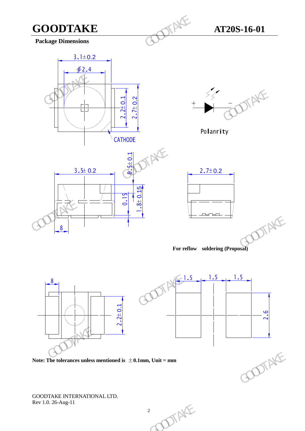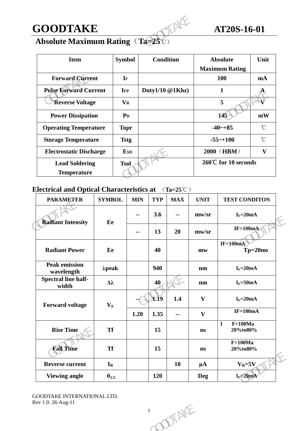

### **Absolute Maximum Rating**(**Ta=25**℃)

| <b>GOODTAKE</b>                                  |               |                        |                          |                     |                      |                                    | AT20S-16-01                              |                 |  |
|--------------------------------------------------|---------------|------------------------|--------------------------|---------------------|----------------------|------------------------------------|------------------------------------------|-----------------|--|
| <b>Absolute Maximum Rating (Ta=25</b> °C)        |               |                        |                          |                     |                      |                                    |                                          |                 |  |
| <b>Item</b>                                      |               | <b>Symbol</b>          |                          | <b>Condition</b>    |                      |                                    | <b>Absolute</b><br><b>Maximum Rating</b> | Unit            |  |
| <b>Forward Current</b>                           |               | $\mathbf{I}\mathbf{F}$ |                          |                     |                      |                                    | 100                                      |                 |  |
| <b>Pulse Forward Current</b>                     |               | <b>IFP</b>             |                          | Duty $1/10$ @ 1Khz) |                      |                                    | $\mathbf{1}$                             |                 |  |
| <b>Reverse Voltage</b>                           |               | <b>VR</b>              |                          |                     |                      |                                    | 5                                        |                 |  |
| <b>Power Dissipation</b>                         |               | $P_{D}$                |                          |                     |                      | 145                                |                                          | mW              |  |
| <b>Operating Temperature</b>                     |               | <b>Topr</b>            |                          |                     |                      | $-40 - +85$                        |                                          | $\rm ^{\circ}C$ |  |
| <b>Storage Temperature</b>                       |               | <b>Tstg</b>            |                          |                     |                      | $-55$ ~+100                        |                                          | $\rm ^{\circ}C$ |  |
| <b>Electrostatic Discharge</b>                   |               | <b>E</b> sp            |                          |                     |                      | 2000 (HBM)                         |                                          | $\mathbf{V}$    |  |
| <b>Lead Soldering</b><br><b>Temperature</b>      |               | <b>Tsol</b>            |                          |                     | 260°C for 10 seconds |                                    |                                          |                 |  |
| <b>Electrical and Optical Characteristics at</b> |               |                        |                          |                     | $(Ta=25^{\circ}C)$   |                                    |                                          |                 |  |
| <b>PARAMETER</b>                                 | <b>SYMBOL</b> |                        | <b>MIN</b>               | <b>TYP</b>          | <b>MAX</b>           | <b>UNIT</b>                        | <b>TEST CONDITON</b>                     |                 |  |
| <b>Radiant Intensity</b>                         | Ee            |                        | $\sim$ $\sim$            | 3.6                 | $\mathbf{m}$         | $\mathbf{m}\mathbf{w}/\mathbf{sr}$ | $I_F = 20mA$                             |                 |  |
|                                                  |               |                        | $\overline{\phantom{a}}$ | 13                  | 20                   | $\text{mw/sr}$                     | $IF=100mA$                               |                 |  |
| <b>Radiant Power</b>                             | Ee            |                        |                          | 40                  |                      | mw                                 | $IF=100mA$                               | $Tp = 20ms$     |  |

### **Electrical and Optical Characteristics at** (**Ta=25**℃)

| 3.6<br>$I_F = 20mA$<br>$\mathbf{m}\mathbf{w}/\mathbf{sr}$<br>--<br>$\mathbf{H}$<br><b>Radiant Intensity</b><br>Ee<br>$IF=100mA$<br>13<br>20<br>$\mathbf{m}\mathbf{w}/\mathbf{sr}$<br>$\mathbf{H}$<br>$IF=100mA$<br><b>Radiant Power</b><br>$Tp=20ms$<br>Ee<br>40<br>$m$ w<br><b>Peak emission</b><br>940<br>$I_F = 20mA$<br>$\lambda$ peak<br>nm<br>wavelength<br><b>Spectral line half-</b><br>40<br>$I_F = 50mA$<br>$\Delta\lambda$<br>nm<br>width<br>1.19<br>1.4<br>$\mathbf{V}$<br>$I_F = 20mA$<br><b>Forward voltage</b><br>$\mathbf{V}_\mathbf{F}$<br>$IF=100mA$<br>1.20<br>1.35<br>$\mathbf{V}$<br>$\overline{\phantom{a}}$<br>$F=100Ma$<br>$\mathbf I$<br><b>Rise Time</b><br><b>Tf</b><br>15<br>20%to80%<br>$\mathbf{n}\mathbf{s}$<br>$F=100Ma$<br><b>Fall Time</b><br><b>Tf</b><br>15<br>20%to80%<br>$\mathbf{n}$ s | <b>Reverse current</b><br>10<br>$V_R = 5V$<br>$I_R$<br>$\mu A$<br>$I_F = 20mA$<br><b>Viewing angle</b><br>120<br>$\theta_{1/2}$<br><b>Deg</b><br><b>GOODTAKE INTERNATIONAL LTD.</b><br>Rev 1.0. 26-Aug-11<br>DIAKE<br>$\mathfrak{Z}$ | <b>TEST CONDITON</b> |
|-------------------------------------------------------------------------------------------------------------------------------------------------------------------------------------------------------------------------------------------------------------------------------------------------------------------------------------------------------------------------------------------------------------------------------------------------------------------------------------------------------------------------------------------------------------------------------------------------------------------------------------------------------------------------------------------------------------------------------------------------------------------------------------------------------------------------------|--------------------------------------------------------------------------------------------------------------------------------------------------------------------------------------------------------------------------------------|----------------------|
|                                                                                                                                                                                                                                                                                                                                                                                                                                                                                                                                                                                                                                                                                                                                                                                                                               |                                                                                                                                                                                                                                      |                      |
|                                                                                                                                                                                                                                                                                                                                                                                                                                                                                                                                                                                                                                                                                                                                                                                                                               |                                                                                                                                                                                                                                      |                      |
|                                                                                                                                                                                                                                                                                                                                                                                                                                                                                                                                                                                                                                                                                                                                                                                                                               |                                                                                                                                                                                                                                      |                      |
|                                                                                                                                                                                                                                                                                                                                                                                                                                                                                                                                                                                                                                                                                                                                                                                                                               |                                                                                                                                                                                                                                      |                      |
|                                                                                                                                                                                                                                                                                                                                                                                                                                                                                                                                                                                                                                                                                                                                                                                                                               |                                                                                                                                                                                                                                      |                      |
|                                                                                                                                                                                                                                                                                                                                                                                                                                                                                                                                                                                                                                                                                                                                                                                                                               |                                                                                                                                                                                                                                      |                      |
|                                                                                                                                                                                                                                                                                                                                                                                                                                                                                                                                                                                                                                                                                                                                                                                                                               |                                                                                                                                                                                                                                      |                      |
|                                                                                                                                                                                                                                                                                                                                                                                                                                                                                                                                                                                                                                                                                                                                                                                                                               |                                                                                                                                                                                                                                      |                      |
|                                                                                                                                                                                                                                                                                                                                                                                                                                                                                                                                                                                                                                                                                                                                                                                                                               |                                                                                                                                                                                                                                      |                      |
|                                                                                                                                                                                                                                                                                                                                                                                                                                                                                                                                                                                                                                                                                                                                                                                                                               |                                                                                                                                                                                                                                      |                      |
|                                                                                                                                                                                                                                                                                                                                                                                                                                                                                                                                                                                                                                                                                                                                                                                                                               |                                                                                                                                                                                                                                      |                      |

CONTAKE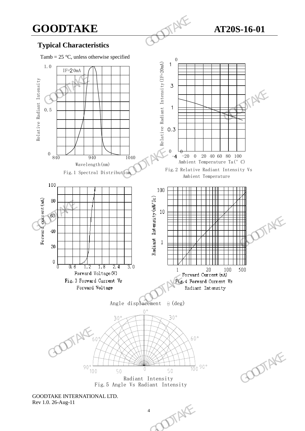### **Typical Characteristics**

Tamb =  $25^{\circ}$ C, unless otherwise specified





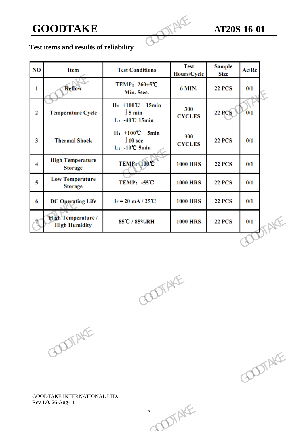# **GOODTAKE AT20S-16-01**<br> **Fest items and worth and and contract of the set of the set of the set of the set of the set of the set of the set of the set of the set of the set of the set of the set of the set of the set of**

### **Test items and results of reliability**

|     | <b>GOODTAKE</b>                            |                                                                     | NF                         | AT20S-16-01                  |                          |  |
|-----|--------------------------------------------|---------------------------------------------------------------------|----------------------------|------------------------------|--------------------------|--|
|     | Test items and results of reliability      |                                                                     |                            |                              |                          |  |
| NO. | Item                                       | <b>Test Conditions</b>                                              | <b>Test</b><br>Hours/Cycle | <b>Sample</b><br><b>Size</b> | Ac/Re                    |  |
| 1   | <b>Reflow</b>                              | TEMP: 260±5℃<br>Min. 5sec.                                          | <b>6 MIN.</b>              | <b>22 PCS</b>                | 0/1                      |  |
| 2   | <b>Temperature Cycle</b>                   | $H: +100^{\circ}C$ 15min<br>$\int$ 5 min<br>$L: -40^{\circ}C$ 15min | 300<br><b>CYCLES</b>       | 22 PCS                       | $\frac{0}{1}$            |  |
| 3   | <b>Thermal Shock</b>                       | $H: +100^{\circ}C$ 5min<br>$\int$ 10 sec<br>$L_1$ -10°C 5min        | 300<br><b>CYCLES</b>       | <b>22 PCS</b>                | 0/1                      |  |
| 4   | <b>High Temperature</b><br><b>Storage</b>  | $TEMP_t \rightarrow 100C$                                           | <b>1000 HRS</b>            | <b>22 PCS</b>                | 0/1                      |  |
| 5   | <b>Low Temperature</b><br><b>Storage</b>   | TEMP: -55℃                                                          | <b>1000 HRS</b>            | <b>22 PCS</b>                | 0/1                      |  |
| 6   | <b>DC Operating Life</b>                   | $I_F = 20$ mA / 25°C                                                | <b>1000 HRS</b>            | <b>22 PCS</b>                | 0/1                      |  |
|     | High Temperature /<br><b>High Humidity</b> | 85°C / 85%RH                                                        | <b>1000 HRS</b>            | <b>22 PCS</b>                | 0/1                      |  |
|     |                                            |                                                                     |                            |                              | $\overline{\phantom{a}}$ |  |
|     |                                            |                                                                     |                            |                              |                          |  |
|     |                                            | COOTAKE                                                             |                            |                              |                          |  |
|     | COOTAKE                                    |                                                                     |                            |                              |                          |  |
|     |                                            |                                                                     |                            |                              |                          |  |



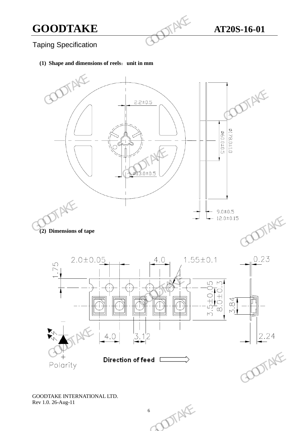Taping Specification

### **(1) Shape and dimensions of reels**:**unit in mm**

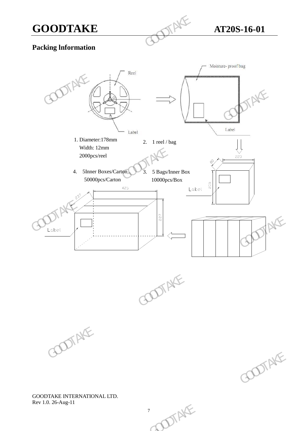

### **Packing lnformation**